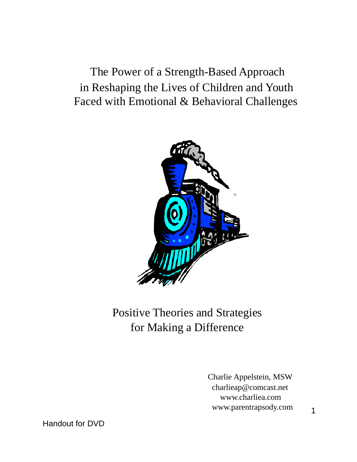The Power of a Strength-Based Approach in Reshaping the Lives of Children and Youth Faced with Emotional & Behavioral Challenges



# Positive Theories and Strategies for Making a Difference

Charlie Appelstein, MSW charlieap@comcast.net www.charliea.com www.parentrapsody.com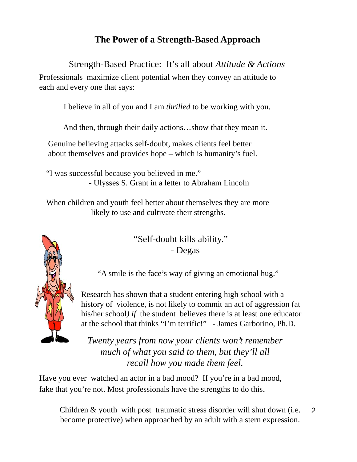# **The Power of a Strength-Based Approach**

Strength-Based Practice: It's all about *Attitude & Actions*

Professionals maximize client potential when they convey an attitude to each and every one that says:

I believe in all of you and I am *thrilled* to be working with you.

And then, through their daily actions…show that they mean it.

Genuine believing attacks self-doubt, makes clients feel better about themselves and provides hope – which is humanity's fuel.

"I was successful because you believed in me." - Ulysses S. Grant in a letter to Abraham Lincoln

When children and youth feel better about themselves they are more likely to use and cultivate their strengths.

> "Self-doubt kills ability." - Degas

"A smile is the face's way of giving an emotional hug."

Research has shown that a student entering high school with a history of violence, is not likely to commit an act of aggression (at his/her school*) if* the student believes there is at least one educator at the school that thinks "I'm terrific!" - James Garborino, Ph.D.

*Twenty years from now your clients won't remember much of what you said to them, but they'll all recall how you made them feel.*

Have you ever watched an actor in a bad mood? If you're in a bad mood, fake that you're not. Most professionals have the strengths to do this.

2 Children & youth with post traumatic stress disorder will shut down (i.e. become protective) when approached by an adult with a stern expression.

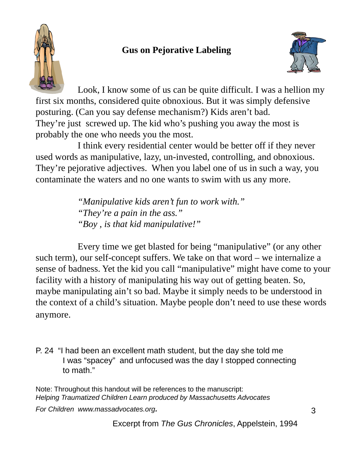# **Gus on Pejorative Labeling**





Look, I know some of us can be quite difficult. I was a hellion my first six months, considered quite obnoxious. But it was simply defensive posturing. (Can you say defense mechanism?) Kids aren't bad. They're just screwed up. The kid who's pushing you away the most is probably the one who needs you the most.

I think every residential center would be better off if they never used words as manipulative, lazy, un-invested, controlling, and obnoxious. They're pejorative adjectives. When you label one of us in such a way, you contaminate the waters and no one wants to swim with us any more.

> *"Manipulative kids aren't fun to work with." "They're a pain in the ass." "Boy , is that kid manipulative!"*

Every time we get blasted for being "manipulative" (or any other such term), our self-concept suffers. We take on that word – we internalize a sense of badness. Yet the kid you call "manipulative" might have come to your facility with a history of manipulating his way out of getting beaten. So, maybe manipulating ain't so bad. Maybe it simply needs to be understood in the context of a child's situation. Maybe people don't need to use these words anymore.

P. 24 "I had been an excellent math student, but the day she told me I was "spacey" and unfocused was the day I stopped connecting to math."

Note: Throughout this handout will be references to the manuscript: *Helping Traumatized Children Learn produced by Massachusetts Advocates*

*For Children www.massadvocates.org.*

Excerpt from *The Gus Chronicles*, Appelstein, 1994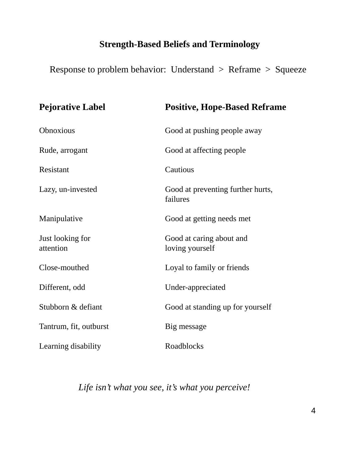# **Strength-Based Beliefs and Terminology**

Response to problem behavior: Understand > Reframe > Squeeze

| <b>Pejorative Label</b>       | <b>Positive, Hope-Based Reframe</b>           |
|-------------------------------|-----------------------------------------------|
| Obnoxious                     | Good at pushing people away                   |
| Rude, arrogant                | Good at affecting people                      |
| Resistant                     | Cautious                                      |
| Lazy, un-invested             | Good at preventing further hurts,<br>failures |
| Manipulative                  | Good at getting needs met                     |
| Just looking for<br>attention | Good at caring about and<br>loving yourself   |
| Close-mouthed                 | Loyal to family or friends                    |
| Different, odd                | Under-appreciated                             |
| Stubborn & defiant            | Good at standing up for yourself              |
| Tantrum, fit, outburst        | Big message                                   |
| Learning disability           | Roadblocks                                    |

*Life isn't what you see, it's what you perceive!*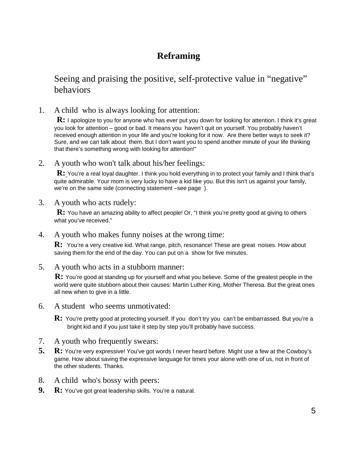# **Reframing**

#### Seeing and praising the positive, self-protective value in "negative" behaviors

1. A child who is always looking for attention:

**R:** I apologize to you for anyone who has ever put you down for looking for attention. I think it's great you look for attention – good or bad. It means you haven't quit on yourself. You probably haven't received enough attention in your life and you're looking for it now. Are there better ways to seek it? Sure, and we can talk about them. But I don't want you to spend another minute of your life thinking that there's something wrong with looking for attention!"

2. A youth who won't talk about his/her feelings:

**R:** You're a real loyal daughter. I think you hold everything in to protect your family and I think that's quite admirable. Your mom is very lucky to have a kid like you. But this isn't us against your family, we're on the same side (connecting statement –see page ).

3. A youth who acts rudely:

**R:** You have an amazing ability to affect people! Or, "I think you're pretty good at giving to others what you've received."

4. A youth who makes funny noises at the wrong time:

**R:** You're a very creative kid. What range, pitch, resonance! These are great noises. How about saving them for the end of the day. You can put on a show for five minutes.

5. A youth who acts in a stubborn manner:

**R:** You're good at standing up for yourself and what you believe. Some of the greatest people in the world were quite stubborn about their causes: Martin Luther King, Mother Theresa. But the great ones all new when to give in a little.

- 6. A student who seems unmotivated:
	- **R:** You're pretty good at protecting yourself. If you don't try you can't be embarrassed. But you're a bright kid and if you just take it step by step you'll probably have success.
- 7. A youth who frequently swears:
- **5. R:** You're very expressive! You've got words I never heard before. Might use a few at the Cowboy's game. How about saving the expressive language for times your alone with one of us, not in front of the other students. Thanks.
- 8. A child who's bossy with peers:
- **9. R:** You've got great leadership skills. You're a natural.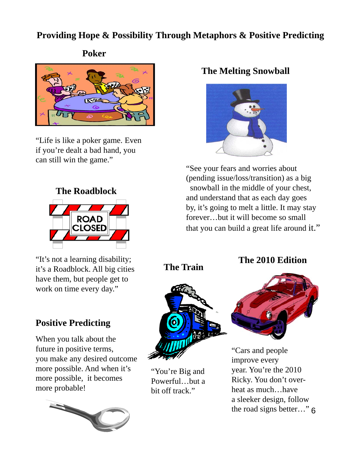# **Providing Hope & Possibility Through Metaphors & Positive Predicting**

**Poker**



"Life is like a poker game. Even if you're dealt a bad hand, you can still win the game."



"It's not a learning disability; it's a Roadblock. All big cities have them, but people get to work on time every day."

# **Positive Predicting**

When you talk about the future in positive terms, you make any desired outcome more possible. And when it's more possible, it becomes more probable!



# **The Melting Snowball**



"See your fears and worries about (pending issue/loss/transition) as a big snowball in the middle of your chest, and understand that as each day goes by, it's going to melt a little. It may stay forever…but it will become so small that you can build a great life around it."

**The Train**



"You're Big and Powerful…but a bit off track."

### **The 2010 Edition**



the road signs better..." 6 "Cars and people improve every year. You're the 2010 Ricky. You don't overheat as much…have a sleeker design, follow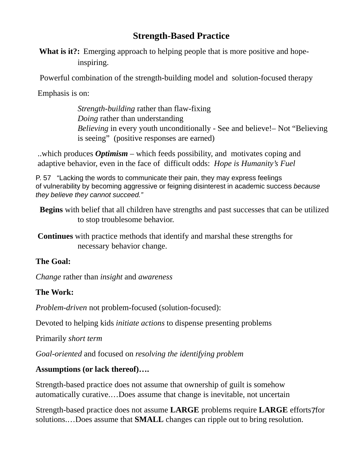# **Strength-Based Practice**

**What is it?:** Emerging approach to helping people that is more positive and hopeinspiring.

Powerful combination of the strength-building model and solution-focused therapy

Emphasis is on:

*Strength-building* rather than flaw-fixing *Doing* rather than understanding *Believing* in every youth unconditionally - See and believe!– Not "Believing is seeing" (positive responses are earned)

..which produces *Optimism –* which feeds possibility, and motivates coping and adaptive behavior, even in the face of difficult odds: *Hope is Humanity's Fuel*

P. 57 "Lacking the words to communicate their pain, they may express feelings of vulnerability by becoming aggressive or feigning disinterest in academic success *because they believe they cannot succeed."*

**Begins** with belief that all children have strengths and past successes that can be utilized to stop troublesome behavior.

**Continues** with practice methods that identify and marshal these strengths for necessary behavior change.

#### **The Goal:**

*Change* rather than *insight* and *awareness*

#### **The Work:**

*Problem-driven* not problem-focused (solution-focused):

Devoted to helping kids *initiate actions* to dispense presenting problems

Primarily *short term*

*Goal-oriented* and focused on *resolving the identifying problem*

#### **Assumptions (or lack thereof)….**

Strength-based practice does not assume that ownership of guilt is somehow automatically curative.…Does assume that change is inevitable, not uncertain

Strength-based practice does not assume LARGE problems require LARGE efforts7for solutions.…Does assume that **SMALL** changes can ripple out to bring resolution.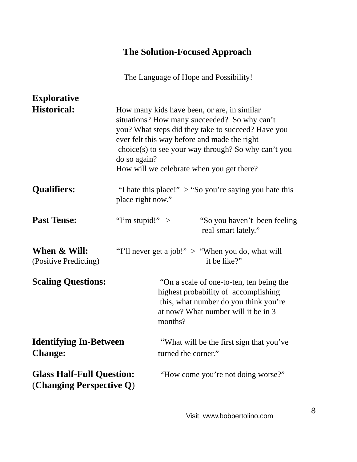# **The Solution-Focused Approach**

The Language of Hope and Possibility!

| <b>Explorative</b>                                           |                                                                                                                                                                                                                                                                                                                       |
|--------------------------------------------------------------|-----------------------------------------------------------------------------------------------------------------------------------------------------------------------------------------------------------------------------------------------------------------------------------------------------------------------|
| <b>Historical:</b>                                           | How many kids have been, or are, in similar<br>situations? How many succeeded? So why can't<br>you? What steps did they take to succeed? Have you<br>ever felt this way before and made the right<br>choice(s) to see your way through? So why can't you<br>do so again?<br>How will we celebrate when you get there? |
| <b>Qualifiers:</b>                                           | "I hate this place!" $>$ "So you're saying you hate this<br>place right now."                                                                                                                                                                                                                                         |
| <b>Past Tense:</b>                                           | "I'm stupid!" $>$<br>"So you haven't been feeling<br>real smart lately."                                                                                                                                                                                                                                              |
| When & Will:<br>(Positive Predicting)                        | "I'll never get a job!" > "When you do, what will<br>it be like?"                                                                                                                                                                                                                                                     |
| <b>Scaling Questions:</b>                                    | "On a scale of one-to-ten, ten being the<br>highest probability of accomplishing<br>this, what number do you think you're<br>at now? What number will it be in 3<br>months?                                                                                                                                           |
| <b>Identifying In-Between</b><br><b>Change:</b>              | "What will be the first sign that you've<br>turned the corner."                                                                                                                                                                                                                                                       |
| <b>Glass Half-Full Question:</b><br>(Changing Perspective Q) | "How come you're not doing worse?"                                                                                                                                                                                                                                                                                    |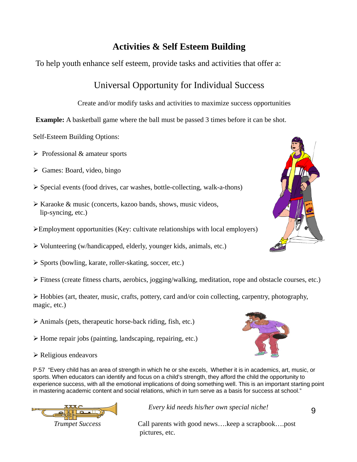#### **Activities & Self Esteem Building**

To help youth enhance self esteem, provide tasks and activities that offer a:

# Universal Opportunity for Individual Success

Create and/or modify tasks and activities to maximize success opportunities

**Example:** A basketball game where the ball must be passed 3 times before it can be shot.

Self-Esteem Building Options:

- $\triangleright$  Professional & amateur sports
- $\triangleright$  Games: Board, video, bingo
- ¾ Special events (food drives, car washes, bottle-collecting, walk-a-thons)
- $\triangleright$  Karaoke & music (concerts, kazoo bands, shows, music videos, lip-syncing, etc.)
- ¾Employment opportunities (Key: cultivate relationships with local employers)
- ¾ Volunteering (w/handicapped, elderly, younger kids, animals, etc.)
- ¾ Sports (bowling, karate, roller-skating, soccer, etc.)
- ¾ Fitness (create fitness charts, aerobics, jogging/walking, meditation, rope and obstacle courses, etc.)

 $\triangleright$  Hobbies (art, theater, music, crafts, pottery, card and/or coin collecting, carpentry, photography, magic, etc.)

- $\triangleright$  Animals (pets, therapeutic horse-back riding, fish, etc.)
- $\triangleright$  Home repair jobs (painting, landscaping, repairing, etc.)
- ¾ Religious endeavors

P.57 "Every child has an area of strength in which he or she excels, Whether it is in academics, art, music, or sports. When educators can identify and focus on a child's strength, they afford the child the opportunity to experience success, with all the emotional implications of doing something well. This is an important starting point in mastering academic content and social relations, which in turn serve as a basis for success at school."



*Every kid needs his/her own special niche!*

*Trumpet Success* Call parents with good news….keep a scrapbook….post pictures, etc.



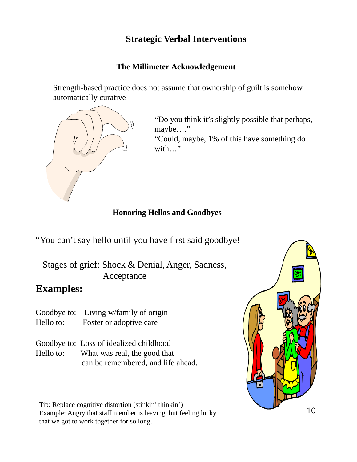# **Strategic Verbal Interventions**

#### **The Millimeter Acknowledgement**

Strength-based practice does not assume that ownership of guilt is somehow automatically curative



"Do you think it's slightly possible that perhaps, maybe...."

"Could, maybe, 1% of this have something do with…"

#### **Honoring Hellos and Goodbyes**

"You can't say hello until you have first said goodbye!

Stages of grief: Shock & Denial, Anger, Sadness, Acceptance

#### **Examples:**

- Goodbye to: Living w/family of origin Hello to: Foster or adoptive care
- Goodbye to: Loss of idealized childhood Hello to: What was real, the good that

can be remembered, and life ahead.

Tip: Replace cognitive distortion (stinkin' thinkin') Example: Angry that staff member is leaving, but feeling lucky that we got to work together for so long.

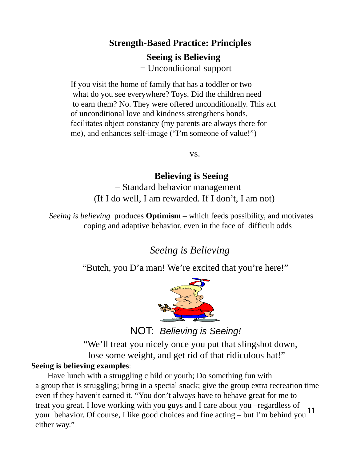# **Strength-Based Practice: Principles Seeing is Believing** = Unconditional support

If you visit the home of family that has a toddler or two what do you see everywhere? Toys. Did the children need to earn them? No. They were offered unconditionally. This act of unconditional love and kindness strengthens bonds, facilitates object constancy (my parents are always there for me), and enhances self-image ("I'm someone of value!")

vs.

#### **Believing is Seeing**

= Standard behavior management (If I do well, I am rewarded. If I don't, I am not)

*Seeing is believing* produces **Optimism** – which feeds possibility, and motivates coping and adaptive behavior, even in the face of difficult odds

*Seeing is Believing*

"Butch, you D'a man! We're excited that you're here!"



NOT: *Believing is Seeing!*

"We'll treat you nicely once you put that slingshot down, lose some weight, and get rid of that ridiculous hat!"

#### **Seeing is believing examples**:

11 Have lunch with a struggling c hild or youth; Do something fun with a group that is struggling; bring in a special snack; give the group extra recreation time even if they haven't earned it. "You don't always have to behave great for me to treat you great. I love working with you guys and I care about you –regardless of your behavior. Of course, I like good choices and fine acting – but I'm behind you either way."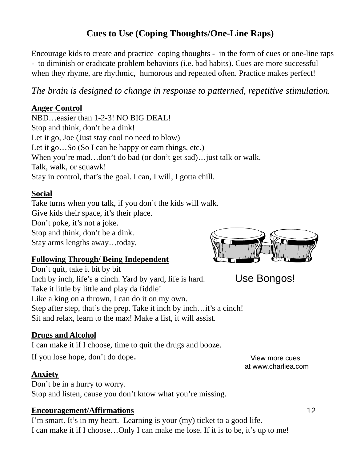## **Cues to Use (Coping Thoughts/One-Line Raps)**

Encourage kids to create and practice coping thoughts - in the form of cues or one-line raps - to diminish or eradicate problem behaviors (i.e. bad habits). Cues are more successful when they rhyme, are rhythmic, humorous and repeated often. Practice makes perfect!

*The brain is designed to change in response to patterned, repetitive stimulation.*

#### **Anger Control**

NBD…easier than 1-2-3! NO BIG DEAL! Stop and think, don't be a dink! Let it go, Joe (Just stay cool no need to blow) Let it go...So (So I can be happy or earn things, etc.) When you're mad...don't do bad (or don't get sad)... just talk or walk. Talk, walk, or squawk! Stay in control, that's the goal. I can, I will, I gotta chill.

#### **Social**

Take turns when you talk, if you don't the kids will walk. Give kids their space, it's their place. Don't poke, it's not a joke. Stop and think, don't be a dink. Stay arms lengths away…today.

#### **Following Through/ Being Independent**

Don't quit, take it bit by bit Inch by inch, life's a cinch. Yard by yard, life is hard. Take it little by little and play da fiddle! Like a king on a thrown, I can do it on my own. Step after step, that's the prep. Take it inch by inch... it's a cinch! Sit and relax, learn to the max! Make a list, it will assist.

#### **Drugs and Alcohol**

I can make it if I choose, time to quit the drugs and booze.

If you lose hope, don't do dope.

#### **Anxiety**

Don't be in a hurry to worry. Stop and listen, cause you don't know what you're missing.

#### **Encouragement/Affirmations**

I'm smart. It's in my heart. Learning is your (my) ticket to a good life. I can make it if I choose…Only I can make me lose. If it is to be, it's up to me!

View more cues at www.charliea.com



Use Bongos!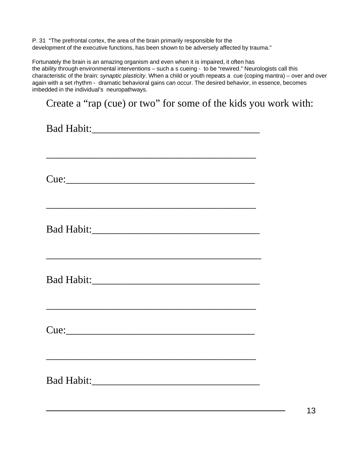P. 31 "The prefrontal cortex, the area of the brain primarily responsible for the development of the executive functions, has been shown to be adversely affected by trauma."

Fortunately the brain is an amazing organism and even when it is impaired, it often has the ability through environmental interventions – such a s cueing - to be "rewired." Neurologists call this characteristic of the brain: *synaptic plasticity*. When a child or youth repeats a cue (coping mantra) – over and over again with a set rhythm - dramatic behavioral gains can occur. The desired behavior, in essence, becomes imbedded in the individual's neuropathways.

Create a "rap (cue) or two" for some of the kids you work with:

Bad Habit:\_\_\_\_\_\_\_\_\_\_\_\_\_\_\_\_\_\_\_\_\_\_\_\_\_\_\_\_\_\_\_\_ \_\_\_\_\_\_\_\_\_\_\_\_\_\_\_\_\_\_\_\_\_\_\_\_\_\_\_\_\_\_\_\_\_\_\_\_\_\_\_\_ Cue:\_\_\_\_\_\_\_\_\_\_\_\_\_\_\_\_\_\_\_\_\_\_\_\_\_\_\_\_\_\_\_\_\_\_\_\_ \_\_\_\_\_\_\_\_\_\_\_\_\_\_\_\_\_\_\_\_\_\_\_\_\_\_\_\_\_\_\_\_\_\_\_\_\_\_\_\_ Bad Habit:\_\_\_\_\_\_\_\_\_\_\_\_\_\_\_\_\_\_\_\_\_\_\_\_\_\_\_\_\_\_\_\_ \_\_\_\_\_\_\_\_\_\_\_\_\_\_\_\_\_\_\_\_\_\_\_\_\_\_\_\_\_\_\_\_\_\_\_\_\_\_\_\_\_ Bad Habit:\_\_\_\_\_\_\_\_\_\_\_\_\_\_\_\_\_\_\_\_\_\_\_\_\_\_\_\_\_\_\_\_  $Cue:$ Bad Habit:\_\_\_\_\_\_\_\_\_\_\_\_\_\_\_\_\_\_\_\_\_\_\_\_\_\_\_\_\_\_\_\_

\_\_\_\_\_\_\_\_\_\_\_\_\_\_\_\_\_\_\_\_\_\_\_\_\_\_\_\_\_\_\_\_\_\_\_\_\_\_\_\_\_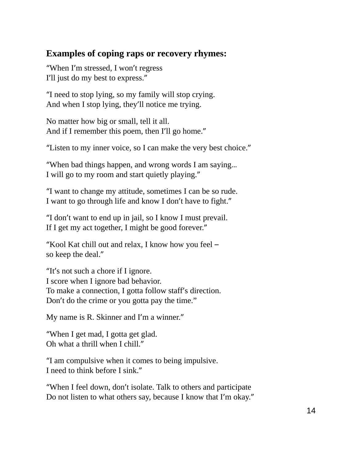#### **Examples of coping raps or recovery rhymes:**

"When I'm stressed, I won't regress I'll just do my best to express."

"I need to stop lying, so my family will stop crying. And when I stop lying, they'll notice me trying.

No matter how big or small, tell it all. And if I remember this poem, then I'll go home."

"Listen to my inner voice, so I can make the very best choice."

"When bad things happen, and wrong words I am saying… I will go to my room and start quietly playing."

"I want to change my attitude, sometimes I can be so rude. I want to go through life and know I don't have to fight."

"I don't want to end up in jail, so I know I must prevail. If I get my act together, I might be good forever."

"Kool Kat chill out and relax, I know how you feel – so keep the deal."

"It's not such a chore if I ignore. I score when I ignore bad behavior. To make a connection, I gotta follow staff's direction. Don't do the crime or you gotta pay the time."

My name is R. Skinner and I'm a winner."

"When I get mad, I gotta get glad. Oh what a thrill when I chill."

"I am compulsive when it comes to being impulsive. I need to think before I sink."

"When I feel down, don't isolate. Talk to others and participate Do not listen to what others say, because I know that I'm okay."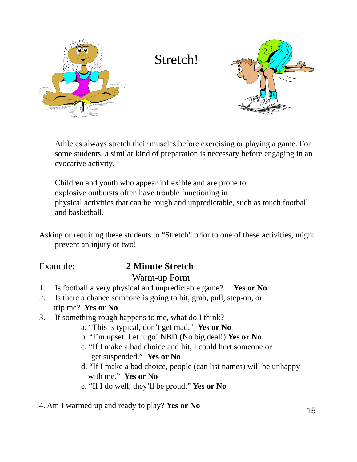

Stretch!



Athletes always stretch their muscles before exercising or playing a game. For some students, a similar kind of preparation is necessary before engaging in an evocative activity.

Children and youth who appear inflexible and are prone to explosive outbursts often have trouble functioning in physical activities that can be rough and unpredictable, such as touch football and basketball.

Asking or requiring these students to "Stretch" prior to one of these activities, might prevent an injury or two!

# Example: **2 Minute Stretch**

#### Warm-up Form

- 1. Is football a very physical and unpredictable game? **Yes or No**
- 2. Is there a chance someone is going to hit, grab, pull, step-on, or trip me? **Yes or No**
- 3. If something rough happens to me, what do I think?
	- a. "This is typical, don't get mad." **Yes or No**
	- b. "I'm upset. Let it go! NBD (No big deal!) **Yes or No**
	- c. "If I make a bad choice and hit, I could hurt someone or get suspended." **Yes or No**
	- d. "If I make a bad choice, people (can list names) will be unhappy with me." **Yes or No**
	- e. "If I do well, they'll be proud." **Yes or No**

4. Am I warmed up and ready to play? **Yes or No**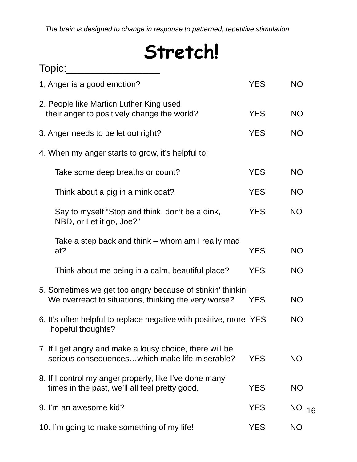*The brain is designed to change in response to patterned, repetitive stimulation*

# **Stretch!**

| Topic:                                                                                                             |            |           |
|--------------------------------------------------------------------------------------------------------------------|------------|-----------|
| 1, Anger is a good emotion?                                                                                        | <b>YES</b> | <b>NO</b> |
| 2. People like Marticn Luther King used<br>their anger to positively change the world?                             | <b>YES</b> | <b>NO</b> |
| 3. Anger needs to be let out right?                                                                                | <b>YES</b> | <b>NO</b> |
| 4. When my anger starts to grow, it's helpful to:                                                                  |            |           |
| Take some deep breaths or count?                                                                                   | <b>YES</b> | <b>NO</b> |
| Think about a pig in a mink coat?                                                                                  | <b>YES</b> | <b>NO</b> |
| Say to myself "Stop and think, don't be a dink,<br>NBD, or Let it go, Joe?"                                        | <b>YES</b> | <b>NO</b> |
| Take a step back and think – whom am I really mad<br>at?                                                           | <b>YES</b> | <b>NO</b> |
| Think about me being in a calm, beautiful place?                                                                   | <b>YES</b> | <b>NO</b> |
| 5. Sometimes we get too angry because of stinkin' thinkin'<br>We overreact to situations, thinking the very worse? | <b>YES</b> | <b>NO</b> |
| 6. It's often helpful to replace negative with positive, more YES<br>hopeful thoughts?                             |            | <b>NO</b> |
| 7. If I get angry and make a lousy choice, there will be<br>serious consequenceswhich make life miserable?         | <b>YES</b> | <b>NO</b> |
| 8. If I control my anger properly, like I've done many<br>times in the past, we'll all feel pretty good.           | <b>YES</b> | <b>NO</b> |
| 9. I'm an awesome kid?                                                                                             | <b>YES</b> | NO<br>16  |
| 10. I'm going to make something of my life!                                                                        | <b>YES</b> | <b>NO</b> |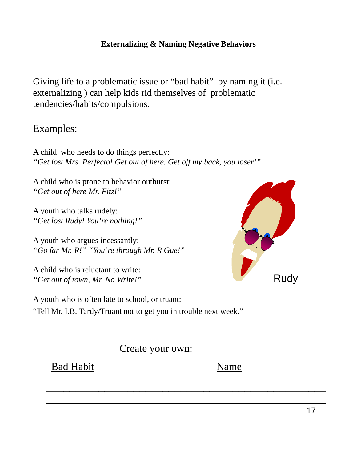#### **Externalizing & Naming Negative Behaviors**

Giving life to a problematic issue or "bad habit" by naming it (i.e. externalizing ) can help kids rid themselves of problematic tendencies/habits/compulsions.

# Examples:

A child who needs to do things perfectly: *"Get lost Mrs. Perfecto! Get out of here. Get off my back, you loser!"*

A child who is prone to behavior outburst: *"Get out of here Mr. Fitz!"*

A youth who talks rudely: *"Get lost Rudy! You're nothing!"*

A youth who argues incessantly: *"Go far Mr. R!" "You're through Mr. R Gue!"*

A child who is reluctant to write: *"Get out of town, Mr. No Write!"*



A youth who is often late to school, or truant: "Tell Mr. I.B. Tardy/Truant not to get you in trouble next week."

Create your own:

 $\overline{\phantom{a}}$  , and the contract of the contract of the contract of the contract of the contract of the contract of the contract of the contract of the contract of the contract of the contract of the contract of the contrac

 $\_$  , and the set of the set of the set of the set of the set of the set of the set of the set of the set of the set of the set of the set of the set of the set of the set of the set of the set of the set of the set of th

Bad Habit Name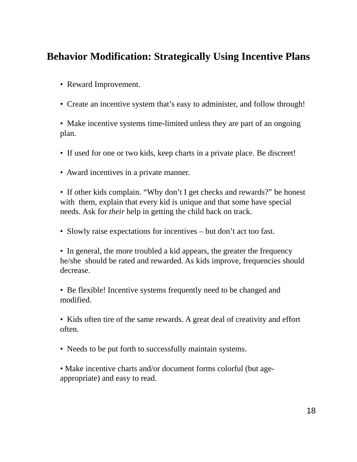# **Behavior Modification: Strategically Using Incentive Plans**

- Reward Improvement.
- Create an incentive system that's easy to administer, and follow through!

• Make incentive systems time-limited unless they are part of an ongoing plan.

- If used for one or two kids, keep charts in a private place. Be discreet!
- Award incentives in a private manner.

• If other kids complain. "Why don't I get checks and rewards?" be honest with them, explain that every kid is unique and that some have special needs. Ask for *their* help in getting the child back on track.

• Slowly raise expectations for incentives – but don't act too fast.

• In general, the more troubled a kid appears, the greater the frequency he/she should be rated and rewarded. As kids improve, frequencies should decrease.

• Be flexible! Incentive systems frequently need to be changed and modified.

• Kids often tire of the same rewards. A great deal of creativity and effort often.

• Needs to be put forth to successfully maintain systems.

• Make incentive charts and/or document forms colorful (but ageappropriate) and easy to read.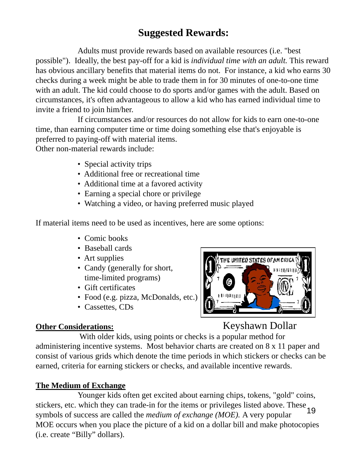# **Suggested Rewards:**

Adults must provide rewards based on available resources (i.e. "best possible"). Ideally, the best pay-off for a kid is *individual time with an adult.* This reward has obvious ancillary benefits that material items do not. For instance, a kid who earns 30 checks during a week might be able to trade them in for 30 minutes of one-to-one time with an adult. The kid could choose to do sports and/or games with the adult. Based on circumstances, it's often advantageous to allow a kid who has earned individual time to invite a friend to join him/her.

If circumstances and/or resources do not allow for kids to earn one-to-one time, than earning computer time or time doing something else that's enjoyable is preferred to paying-off with material items.

Other non-material rewards include:

- Special activity trips
- Additional free or recreational time
- Additional time at a favored activity
- Earning a special chore or privilege
- Watching a video, or having preferred music played

If material items need to be used as incentives, here are some options:

- Comic books
- Baseball cards
- Art supplies
- Candy (generally for short, time-limited programs)
- Gift certificates
- Food (e.g. pizza, McDonalds, etc.)
- Cassettes, CDs

#### **Other Considerations:**



Keyshawn Dollar

With older kids, using points or checks is a popular method for administering incentive systems. Most behavior charts are created on 8 x 11 paper and consist of various grids which denote the time periods in which stickers or checks can be earned, criteria for earning stickers or checks, and available incentive rewards.

#### **The Medium of Exchange**

19 Younger kids often get excited about earning chips, tokens, "gold" coins, stickers, etc. which they can trade-in for the items or privileges listed above. These symbols of success are called the *medium of exchange (MOE).* A very popular MOE occurs when you place the picture of a kid on a dollar bill and make photocopies (i.e. create "Billy" dollars).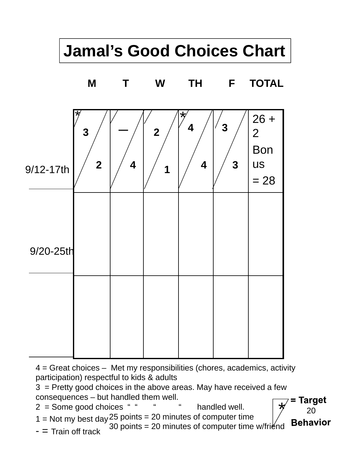# **Jamal's Good Choices Chart**



 $4 =$  Great choices – Met my responsibilities (chores, academics, activity participation) respectful to kids & adults

3 = Pretty good choices in the above areas. May have received a few consequences – but handled them well. \*

20

**Behavior** 

**Target** 

- $2 =$  Some good choices " " " " handled well.
- $1 =$  Not my best day  $25$  points = 20 minutes of computer time
- $-$  = Train off track 30 points = 20 minutes of computer time w/friend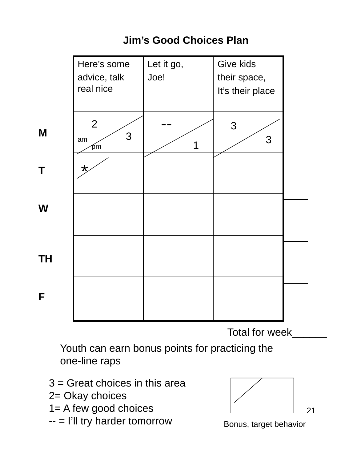|    | Here's some<br>advice, talk<br>real nice | Let it go,<br>Joe! | Give kids<br>their space,<br>It's their place |  |
|----|------------------------------------------|--------------------|-----------------------------------------------|--|
| M  | $\overline{2}$<br>3<br>am<br>рm          |                    | 3<br>3                                        |  |
| Τ  | $\star$                                  |                    |                                               |  |
| W  |                                          |                    |                                               |  |
| ΤH |                                          |                    |                                               |  |
| F  |                                          |                    |                                               |  |

# **Jim's Good Choices Plan**

Total for week

Youth can earn bonus points for practicing the one-line raps

3 = Great choices in this area

2= Okay choices

- 1= A few good choices
- -- = I'll try harder tomorrow



Bonus, target behavior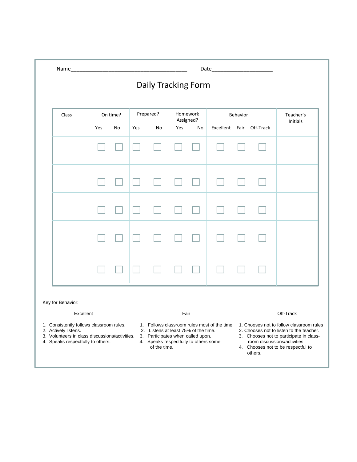|       |     |          |     | Daily Tracking Form |                  |          |                          |          |                 |
|-------|-----|----------|-----|---------------------|------------------|----------|--------------------------|----------|-----------------|
| Class |     | On time? |     | Prepared?           |                  | Homework |                          | Behavior | Teacher's       |
|       | Yes | No       | Yes | No                  | Assigned?<br>Yes | No       | Excellent Fair Off-Track |          | <b>Initials</b> |
|       |     |          |     |                     |                  |          |                          |          |                 |
|       |     |          |     |                     |                  |          |                          |          |                 |
|       |     |          |     |                     |                  |          |                          |          |                 |
|       |     |          |     |                     |                  |          |                          |          |                 |
|       |     |          |     |                     |                  |          |                          |          |                 |

Key for Behavior:

- 
- 
- 
- 
- 1. Consistently follows classroom rules. 1. Follows classroom rules most of the time. 1. Chooses not to follow classroom rules<br>2. Actively listens. 2. Chooses not to listen to the teacher.
	-
	-
	- 4. Speaks respectfully to others some room discussions/activities of the time. 4. Chooses not to be respectful to

#### Excellent Fair Off-Track

- 
- 2. Listens at least 75% of the time. 2. Chooses not to listen to the teacher.<br>3. Participates when called upon. 3. Chooses not to participate in class-
- 3. Volunteers in class discussions/activities. 3. Participates when called upon. 3. Chooses not to participate in class-<br>4. Speaks respectfully to others some room discussions/activities<br>5. The speaks respectfully to other
	- others.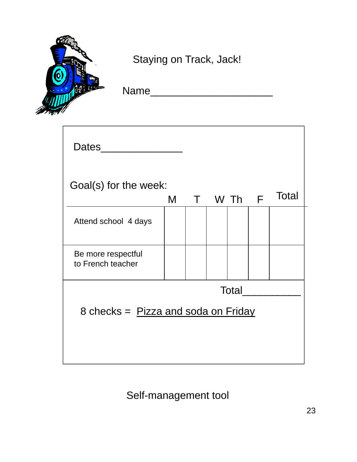

Staying on Track, Jack!

 $\overline{\phantom{a}}$  , and the set of the set of the set of the set of the set of the set of the set of the set of the set of the set of the set of the set of the set of the set of the set of the set of the set of the set of the s

|  | Name |  |
|--|------|--|
|--|------|--|

| <b>Dates</b>                            |   |              |  |              |       |
|-----------------------------------------|---|--------------|--|--------------|-------|
| Goal(s) for the week:                   | M | $\mathsf{T}$ |  | W Th F       | Total |
| Attend school 4 days                    |   |              |  |              |       |
| Be more respectful<br>to French teacher |   |              |  |              |       |
|                                         |   |              |  | <b>Total</b> |       |
| 8 checks = Pizza and soda on Friday     |   |              |  |              |       |
|                                         |   |              |  |              |       |

Self-management tool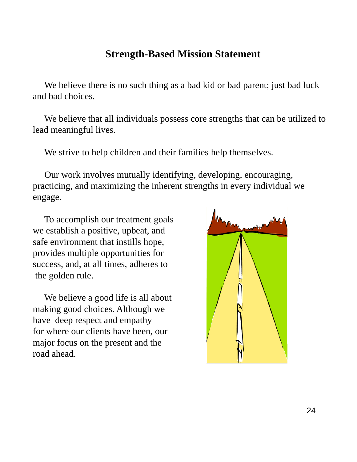# **Strength-Based Mission Statement**

We believe there is no such thing as a bad kid or bad parent; just bad luck and bad choices.

We believe that all individuals possess core strengths that can be utilized to lead meaningful lives.

We strive to help children and their families help themselves.

Our work involves mutually identifying, developing, encouraging, practicing, and maximizing the inherent strengths in every individual we engage.

To accomplish our treatment goals we establish a positive, upbeat, and safe environment that instills hope, provides multiple opportunities for success, and, at all times, adheres to the golden rule.

We believe a good life is all about making good choices. Although we have deep respect and empathy for where our clients have been, our major focus on the present and the road ahead.

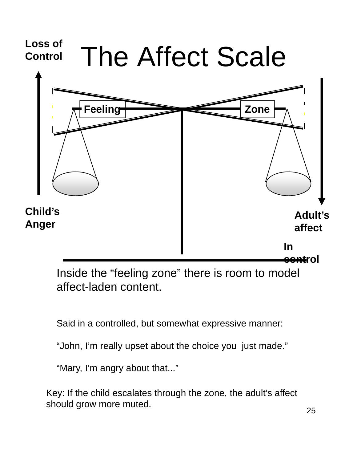

Inside the "feeling zone" there is room to model affect-laden content.

Said in a controlled, but somewhat expressive manner:

"John, I'm really upset about the choice you just made."

"Mary, I'm angry about that..."

Key: If the child escalates through the zone, the adult's affect should grow more muted.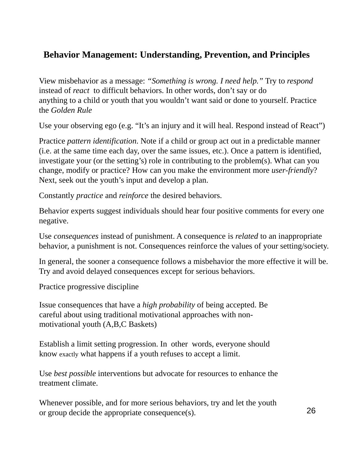# **Behavior Management: Understanding, Prevention, and Principles**

View misbehavior as a message: *"Something is wrong. I need help."* Try to *respond*  instead of *react* to difficult behaviors. In other words, don't say or do anything to a child or youth that you wouldn't want said or done to yourself. Practice the *Golden Rule*

Use your observing ego (e.g. "It's an injury and it will heal. Respond instead of React")

Practice *pattern identification*. Note if a child or group act out in a predictable manner (i.e. at the same time each day, over the same issues, etc.). Once a pattern is identified, investigate your (or the setting's) role in contributing to the problem(s). What can you change, modify or practice? How can you make the environment more *user-friendly*? Next, seek out the youth's input and develop a plan.

Constantly *practice* and *reinforce* the desired behaviors.

Behavior experts suggest individuals should hear four positive comments for every one negative.

Use *consequences* instead of punishment. A consequence is *related* to an inappropriate behavior, a punishment is not. Consequences reinforce the values of your setting/society.

In general, the sooner a consequence follows a misbehavior the more effective it will be. Try and avoid delayed consequences except for serious behaviors.

Practice progressive discipline

Issue consequences that have a *high probability* of being accepted. Be careful about using traditional motivational approaches with nonmotivational youth (A,B,C Baskets)

Establish a limit setting progression. In other words, everyone should know exactly what happens if a youth refuses to accept a limit.

Use *best possible* interventions but advocate for resources to enhance the treatment climate.

Whenever possible, and for more serious behaviors, try and let the youth or group decide the appropriate consequence(s).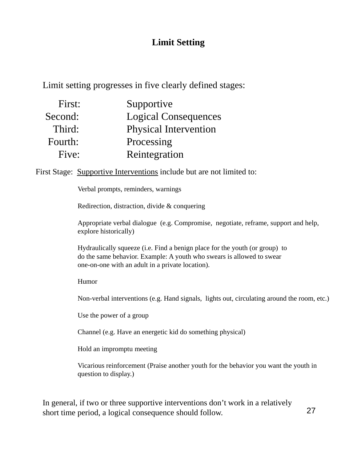# **Limit Setting**

Limit setting progresses in five clearly defined stages:

| First:  | Supportive                   |
|---------|------------------------------|
| Second: | <b>Logical Consequences</b>  |
| Third:  | <b>Physical Intervention</b> |
| Fourth: | Processing                   |
| Five:   | Reintegration                |

First Stage: Supportive Interventions include but are not limited to:

Verbal prompts, reminders, warnings

Redirection, distraction, divide & conquering

Appropriate verbal dialogue (e.g. Compromise, negotiate, reframe, support and help, explore historically)

Hydraulically squeeze (i.e. Find a benign place for the youth (or group) to do the same behavior. Example: A youth who swears is allowed to swear one-on-one with an adult in a private location).

Humor

Non-verbal interventions (e.g. Hand signals, lights out, circulating around the room, etc.)

Use the power of a group

Channel (e.g. Have an energetic kid do something physical)

Hold an impromptu meeting

Vicarious reinforcement (Praise another youth for the behavior you want the youth in question to display.)

In general, if two or three supportive interventions don't work in a relatively short time period, a logical consequence should follow.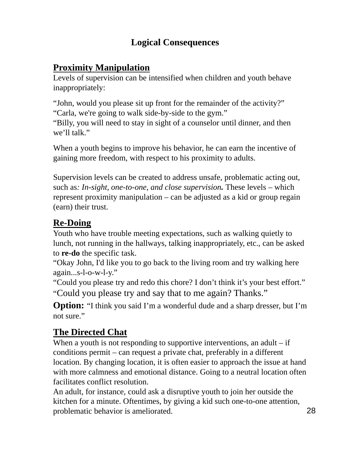## **Logical Consequences**

### **Proximity Manipulation**

Levels of supervision can be intensified when children and youth behave inappropriately:

"John, would you please sit up front for the remainder of the activity?" "Carla, we're going to walk side-by-side to the gym."

"Billy, you will need to stay in sight of a counselor until dinner, and then we'll talk."

When a youth begins to improve his behavior, he can earn the incentive of gaining more freedom, with respect to his proximity to adults.

Supervision levels can be created to address unsafe, problematic acting out, such as*: In-sight, one-to-one, and close supervision.* These levels – which represent proximity manipulation – can be adjusted as a kid or group regain (earn) their trust.

# **Re-Doing**

Youth who have trouble meeting expectations, such as walking quietly to lunch, not running in the hallways, talking inappropriately, etc., can be asked to **re-do** the specific task.

"Okay John, I'd like you to go back to the living room and try walking here again...s-l-o-w-l-y."

"Could you please try and redo this chore? I don't think it's your best effort." "Could you please try and say that to me again? Thanks."

**Option:** "I think you said I'm a wonderful dude and a sharp dresser, but I'm not sure."

# **The Directed Chat**

When a youth is not responding to supportive interventions, an adult  $-$  if conditions permit – can request a private chat, preferably in a different location. By changing location, it is often easier to approach the issue at hand with more calmness and emotional distance. Going to a neutral location often facilitates conflict resolution.

An adult, for instance, could ask a disruptive youth to join her outside the kitchen for a minute. Oftentimes, by giving a kid such one-to-one attention, problematic behavior is ameliorated.

28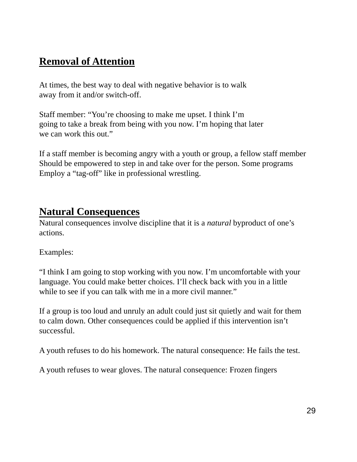# **Removal of Attention**

At times, the best way to deal with negative behavior is to walk away from it and/or switch-off.

Staff member: "You're choosing to make me upset. I think I'm going to take a break from being with you now. I'm hoping that later we can work this out."

If a staff member is becoming angry with a youth or group, a fellow staff member Should be empowered to step in and take over for the person. Some programs Employ a "tag-off" like in professional wrestling.

# **Natural Consequences**

Natural consequences involve discipline that it is a *natural* byproduct of one's actions.

Examples:

"I think I am going to stop working with you now. I'm uncomfortable with your language. You could make better choices. I'll check back with you in a little while to see if you can talk with me in a more civil manner."

If a group is too loud and unruly an adult could just sit quietly and wait for them to calm down. Other consequences could be applied if this intervention isn't successful.

A youth refuses to do his homework. The natural consequence: He fails the test.

A youth refuses to wear gloves. The natural consequence: Frozen fingers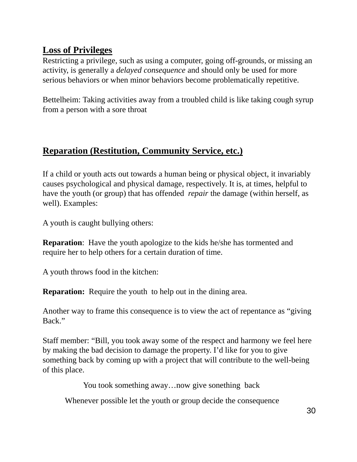# **Loss of Privileges**

Restricting a privilege, such as using a computer, going off-grounds, or missing an activity, is generally a *delayed consequence* and should only be used for more serious behaviors or when minor behaviors become problematically repetitive.

Bettelheim: Taking activities away from a troubled child is like taking cough syrup from a person with a sore throat

### **Reparation (Restitution, Community Service, etc.)**

If a child or youth acts out towards a human being or physical object, it invariably causes psychological and physical damage, respectively. It is, at times, helpful to have the youth (or group) that has offended *repair* the damage (within herself, as well). Examples:

A youth is caught bullying others:

**Reparation:** Have the youth apologize to the kids he/she has tormented and require her to help others for a certain duration of time.

A youth throws food in the kitchen:

**Reparation:** Require the youth to help out in the dining area.

Another way to frame this consequence is to view the act of repentance as "giving Back."

Staff member: "Bill, you took away some of the respect and harmony we feel here by making the bad decision to damage the property. I'd like for you to give something back by coming up with a project that will contribute to the well-being of this place.

You took something away…now give sonething back

Whenever possible let the youth or group decide the consequence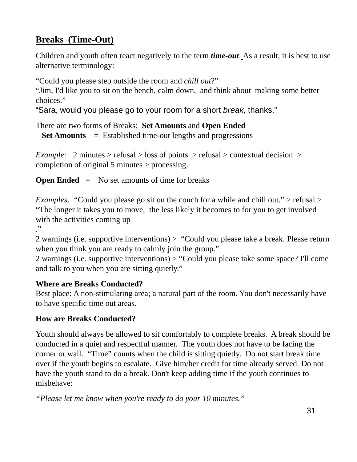# **Breaks (Time-Out)**

Children and youth often react negatively to the term *time-out*. As a result, it is best to use alternative terminology:

"Could you please step outside the room and *chill out*?"

"Jim, I'd like you to sit on the bench, calm down, and think about making some better choices."

"Sara, would you please go to your room for a short *break*, thanks."

There are two forms of Breaks: **Set Amounts** and **Open Ended**

**Set Amounts** = Established time-out lengths and progressions

*Example:* 2 minutes > refusal > loss of points > refusal > contextual decision > completion of original 5 minutes > processing.

**Open Ended** = No set amounts of time for breaks

*Examples:* "Could you please go sit on the couch for a while and chill out." > refusal > "The longer it takes you to move, the less likely it becomes to for you to get involved with the activities coming up

."

2 warnings (i.e. supportive interventions) > "Could you please take a break. Please return when you think you are ready to calmly join the group."

2 warnings (i.e. supportive interventions) > "Could you please take some space? I'll come and talk to you when you are sitting quietly."

#### **Where are Breaks Conducted?**

Best place: A non-stimulating area; a natural part of the room. You don't necessarily have to have specific time out areas.

#### **How are Breaks Conducted?**

Youth should always be allowed to sit comfortably to complete breaks. A break should be conducted in a quiet and respectful manner. The youth does not have to be facing the corner or wall. "Time" counts when the child is sitting quietly. Do not start break time over if the youth begins to escalate. Give him/her credit for time already served. Do not have the youth stand to do a break. Don't keep adding time if the youth continues to misbehave:

*"Please let me know when you're ready to do your 10 minutes."*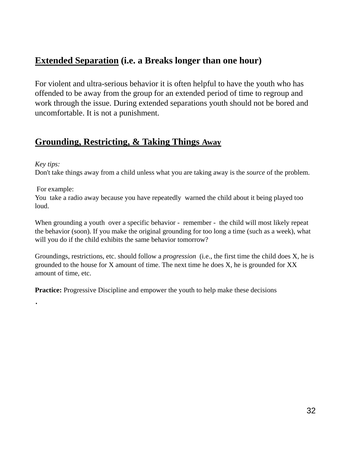#### **Extended Separation (i.e. a Breaks longer than one hour)**

For violent and ultra-serious behavior it is often helpful to have the youth who has offended to be away from the group for an extended period of time to regroup and work through the issue. During extended separations youth should not be bored and uncomfortable. It is not a punishment.

#### **Grounding, Restricting, & Taking Things Away**

#### *Key tips:*

.

Don't take things away from a child unless what you are taking away is the *source* of the problem.

#### For example:

You take a radio away because you have repeatedly warned the child about it being played too loud.

When grounding a youth over a specific behavior - remember - the child will most likely repeat the behavior (soon). If you make the original grounding for too long a time (such as a week), what will you do if the child exhibits the same behavior tomorrow?

Groundings, restrictions, etc. should follow a *progression* (i.e., the first time the child does X, he is grounded to the house for X amount of time. The next time he does X, he is grounded for XX amount of time, etc.

**Practice:** Progressive Discipline and empower the youth to help make these decisions